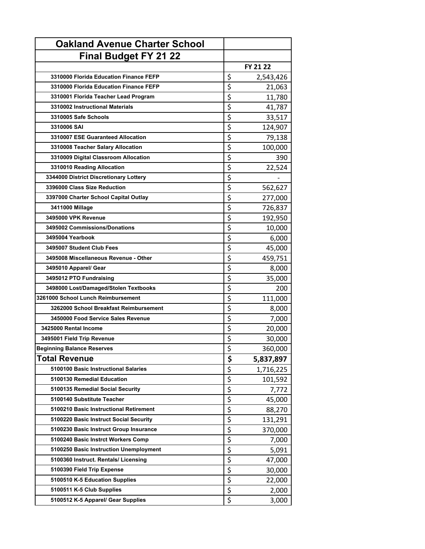| <b>Oakland Avenue Charter School</b>   |                 |
|----------------------------------------|-----------------|
| <b>Final Budget FY 21 22</b>           |                 |
|                                        | FY 21 22        |
| 3310000 Florida Education Finance FEFP | \$<br>2,543,426 |
| 3310000 Florida Education Finance FEFP | \$<br>21,063    |
| 3310001 Florida Teacher Lead Program   | \$<br>11,780    |
| 3310002 Instructional Materials        | \$<br>41,787    |
| 3310005 Safe Schools                   | \$<br>33,517    |
| 3310006 SAI                            | \$<br>124,907   |
| 3310007 ESE Guaranteed Allocation      | \$<br>79,138    |
| 3310008 Teacher Salary Allocation      | \$<br>100,000   |
| 3310009 Digital Classroom Allocation   | \$<br>390       |
| 3310010 Reading Allocation             | \$<br>22,524    |
| 3344000 District Discretionary Lottery | \$              |
| 3396000 Class Size Reduction           | \$<br>562,627   |
| 3397000 Charter School Capital Outlay  | \$<br>277,000   |
| 3411000 Millage                        | \$<br>726,837   |
| 3495000 VPK Revenue                    | \$<br>192,950   |
| 3495002 Commissions/Donations          | \$<br>10,000    |
| 3495004 Yearbook                       | \$<br>6,000     |
| 3495007 Student Club Fees              | \$<br>45,000    |
| 3495008 Miscellaneous Revenue - Other  | \$<br>459,751   |
| 3495010 Apparel/ Gear                  | \$<br>8,000     |
| 3495012 PTO Fundraising                | \$<br>35,000    |
| 3498000 Lost/Damaged/Stolen Textbooks  | \$<br>200       |
| 3261000 School Lunch Reimbursement     | \$<br>111,000   |
| 3262000 School Breakfast Reimbursement | \$<br>8,000     |
| 3450000 Food Service Sales Revenue     | \$<br>7,000     |
| 3425000 Rental Income                  | \$<br>20,000    |
| 3495001 Field Trip Revenue             | \$<br>30,000    |
| <b>Beginning Balance Reserves</b>      | \$<br>360,000   |
| <b>Total Revenue</b>                   | \$<br>5,837,897 |
| 5100100 Basic Instructional Salaries   | \$<br>1,716,225 |
| 5100130 Remedial Education             | \$<br>101,592   |
| 5100135 Remedial Social Security       | \$<br>7,772     |
| 5100140 Substitute Teacher             | \$<br>45,000    |
| 5100210 Basic Instructional Retirement | \$<br>88,270    |
| 5100220 Basic Instruct Social Security | \$<br>131,291   |
| 5100230 Basic Instruct Group Insurance | \$<br>370,000   |
| 5100240 Basic Instrct Workers Comp     | \$<br>7,000     |
| 5100250 Basic Instruction Unemployment | \$<br>5,091     |
| 5100360 Instruct. Rentals/ Licensing   | \$<br>47,000    |
| 5100390 Field Trip Expense             | \$<br>30,000    |
| 5100510 K-5 Education Supplies         | \$<br>22,000    |
| 5100511 K-5 Club Supplies              | \$<br>2,000     |
| 5100512 K-5 Apparel/ Gear Supplies     | \$<br>3,000     |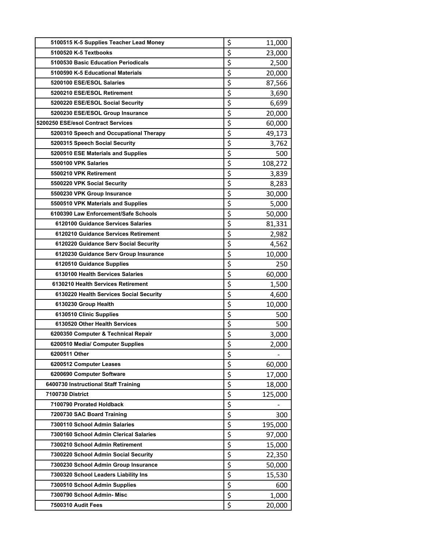| 5100515 K-5 Supplies Teacher Lead Money | \$                                  | 11,000                   |
|-----------------------------------------|-------------------------------------|--------------------------|
| 5100520 K-5 Textbooks                   | \$                                  | 23,000                   |
| 5100530 Basic Education Periodicals     | \$                                  | 2,500                    |
| 5100590 K-5 Educational Materials       | \$                                  | 20,000                   |
| 5200100 ESE/ESOL Salaries               | \$                                  | 87,566                   |
| 5200210 ESE/ESOL Retirement             | \$                                  | 3,690                    |
| 5200220 ESE/ESOL Social Security        | \$                                  | 6,699                    |
| 5200230 ESE/ESOL Group Insurance        | \$                                  | 20,000                   |
| 5200250 ESE/esol Contract Services      | \$                                  | 60,000                   |
| 5200310 Speech and Occupational Therapy | \$                                  | 49,173                   |
| 5200315 Speech Social Security          | \$                                  | 3,762                    |
| 5200510 ESE Materials and Supplies      | \$                                  | 500                      |
| 5500100 VPK Salaries                    | \$                                  | 108,272                  |
| 5500210 VPK Retirement                  | \$                                  | 3,839                    |
| 5500220 VPK Social Security             | \$                                  | 8,283                    |
| 5500230 VPK Group Insurance             | $\overline{\boldsymbol{\zeta}}$     | 30,000                   |
| 5500510 VPK Materials and Supplies      | \$                                  | 5,000                    |
| 6100390 Law Enforcement/Safe Schools    | \$                                  | 50,000                   |
| 6120100 Guidance Services Salaries      | \$                                  | 81,331                   |
| 6120210 Guidance Services Retirement    | \$                                  | 2,982                    |
| 6120220 Guidance Serv Social Security   | \$                                  | 4,562                    |
| 6120230 Guidance Serv Group Insurance   | \$                                  | 10,000                   |
| 6120510 Guidance Supplies               | \$                                  | 250                      |
| 6130100 Health Services Salaries        | \$                                  | 60,000                   |
| 6130210 Health Services Retirement      | \$                                  | 1,500                    |
| 6130220 Health Services Social Security | \$                                  | 4,600                    |
| 6130230 Group Health                    | \$                                  | 10,000                   |
| 6130510 Clinic Supplies                 | \$                                  | 500                      |
| 6130520 Other Health Services           | \$                                  | 500                      |
| 6200350 Computer & Technical Repair     | \$                                  | 3,000                    |
| 6200510 Media/ Computer Supplies        | $\overline{\boldsymbol{\varsigma}}$ | 2,000                    |
| 6200511 Other                           | \$                                  | $\overline{\phantom{0}}$ |
| 6200512 Computer Leases                 | \$                                  | 60,000                   |
| 6200690 Computer Software               | \$                                  | 17,000                   |
| 6400730 Instructional Staff Training    | \$                                  | 18,000                   |
| <b>7100730 District</b>                 | \$                                  | 125,000                  |
| 7100790 Prorated Holdback               | \$                                  |                          |
| 7200730 SAC Board Training              | \$                                  | 300                      |
| 7300110 School Admin Salaries           | \$                                  | 195,000                  |
| 7300160 School Admin Clerical Salaries  | \$                                  | 97,000                   |
| 7300210 School Admin Retirement         | \$                                  | 15,000                   |
| 7300220 School Admin Social Security    | \$                                  | 22,350                   |
| 7300230 School Admin Group Insurance    | \$                                  | 50,000                   |
| 7300320 School Leaders Liability Ins    | \$                                  | 15,530                   |
| 7300510 School Admin Supplies           | \$                                  | 600                      |
| 7300790 School Admin- Misc              | \$                                  | 1,000                    |
| 7500310 Audit Fees                      | \$                                  | 20,000                   |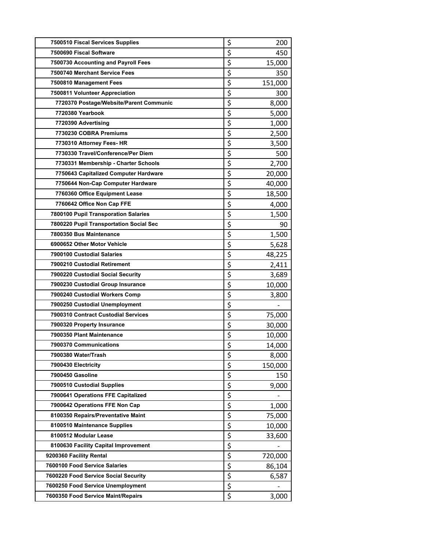| 7500510 Fiscal Services Supplies        | \$                              | 200     |
|-----------------------------------------|---------------------------------|---------|
| 7500690 Fiscal Software                 | \$                              | 450     |
| 7500730 Accounting and Payroll Fees     | \$                              | 15,000  |
| 7500740 Merchant Service Fees           | \$                              | 350     |
| 7500810 Management Fees                 | \$                              | 151,000 |
| 7500811 Volunteer Appreciation          | \$                              | 300     |
| 7720370 Postage/Website/Parent Communic | $\overline{\xi}$                | 8,000   |
| 7720380 Yearbook                        | \$                              | 5,000   |
| 7720390 Advertising                     | \$                              | 1,000   |
| 7730230 COBRA Premiums                  | \$                              | 2,500   |
| 7730310 Attorney Fees- HR               | \$                              | 3,500   |
| 7730330 Travel/Conference/Per Diem      | \$                              | 500     |
| 7730331 Membership - Charter Schools    | $\overline{\xi}$                | 2,700   |
| 7750643 Capitalized Computer Hardware   | \$                              | 20,000  |
| 7750644 Non-Cap Computer Hardware       | \$                              | 40,000  |
| 7760360 Office Equipment Lease          | \$                              | 18,500  |
| 7760642 Office Non Cap FFE              | \$                              | 4,000   |
| 7800100 Pupil Transporation Salaries    | \$                              | 1,500   |
| 7800220 Pupil Transportation Social Sec | \$                              | 90      |
| 7800350 Bus Maintenance                 | \$                              | 1,500   |
| 6900652 Other Motor Vehicle             | \$                              | 5,628   |
| 7900100 Custodial Salaries              | \$                              | 48,225  |
| 7900210 Custodial Retirement            | \$                              | 2,411   |
| 7900220 Custodial Social Security       | \$                              | 3,689   |
| 7900230 Custodial Group Insurance       | \$                              | 10,000  |
| 7900240 Custodial Workers Comp          | \$                              | 3,800   |
| 7900250 Custodial Unemployment          | $\overline{\xi}$                |         |
| 7900310 Contract Custodial Services     | \$                              | 75,000  |
| 7900320 Property Insurance              | \$                              | 30,000  |
| 7900350 Plant Maintenance               | \$                              | 10,000  |
| 7900370 Communications                  | $\overline{\boldsymbol{\zeta}}$ | 14,000  |
| 7900380 Water/Trash                     | \$                              | 8,000   |
| 7900430 Electricity                     | \$                              | 150,000 |
| 7900450 Gasoline                        | $\overline{\xi}$                | 150     |
| 7900510 Custodial Supplies              | \$                              | 9,000   |
| 7900641 Operations FFE Capitalized      | \$                              |         |
| 7900642 Operations FFE Non Cap          | \$                              | 1,000   |
| 8100350 Repairs/Preventative Maint      | $\overline{\xi}$                | 75,000  |
| 8100510 Maintenance Supplies            | \$                              | 10,000  |
| 8100512 Modular Lease                   | \$                              | 33,600  |
| 8100630 Facility Capital Improvement    | \$                              |         |
| 9200360 Facility Rental                 | \$                              | 720,000 |
| 7600100 Food Service Salaries           | \$                              | 86,104  |
| 7600220 Food Service Social Security    | \$                              | 6,587   |
| 7600250 Food Service Unemployment       | $\overline{\xi}$                |         |
| 7600350 Food Service Maint/Repairs      | \$                              | 3,000   |